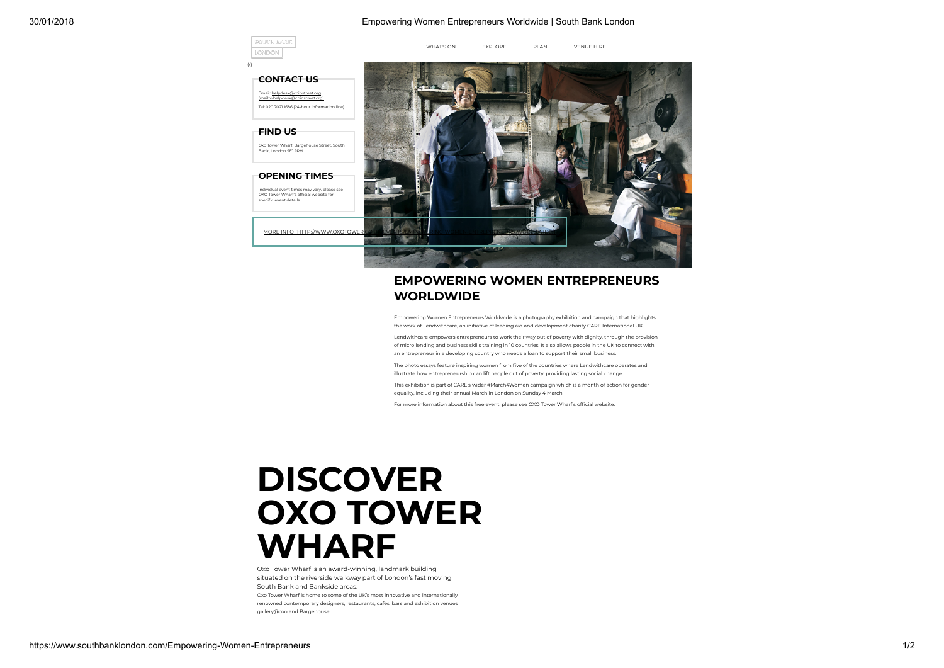## 30/01/2018 Empowering Women Entrepreneurs Worldwide | South Bank London



## EMPOWERING WOMEN ENTREPRENEURS WORLDWIDE

Empowering Women Entrepreneurs Worldwide is a photography exhibition and campaign that highlights the work of Lendwithcare, an initiative of leading aid and development charity CARE International UK.

Lendwithcare empowers entrepreneurs to work their way out of poverty with dignity, through the provision of micro lending and business skills training in 10 countries. It also allows people in the UK to connect with an entrepreneur in a developing country who needs a loan to support their small business.

The photo essays feature inspiring women from five of the countries where Lendwithcare operates and illustrate how entrepreneurship can lift people out of poverty, providing lasting social change.

This exhibition is part of CARE's wider #March4Women campaign which is a month of action for gender equality, including their annual March in London on Sunday 4 March.

For more information about this free event, please see OXO Tower Wharf's official website.

## **DISCOVER** OXO TOWER WHARF

Oxo Tower Wharf is an award-winning, landmark building situated on the riverside walkway part of London's fast moving South Bank and Bankside areas.

Oxo Tower Wharf is home to some of the UK's most innovative and internationally renowned contemporary designers, restaurants, cafes, bars and exhibition venues gallery@oxo and Bargehouse.